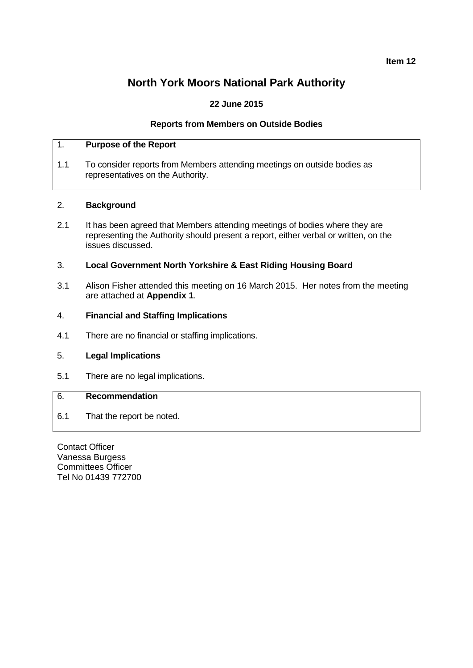**Item 12**

# **North York Moors National Park Authority**

# **22 June 2015**

## **Reports from Members on Outside Bodies**

## 1. **Purpose of the Report**

1.1 To consider reports from Members attending meetings on outside bodies as representatives on the Authority.

#### 2. **Background**

2.1 It has been agreed that Members attending meetings of bodies where they are representing the Authority should present a report, either verbal or written, on the issues discussed.

## 3. **Local Government North Yorkshire & East Riding Housing Board**

3.1 Alison Fisher attended this meeting on 16 March 2015. Her notes from the meeting are attached at **Appendix 1**.

## 4. **Financial and Staffing Implications**

4.1 There are no financial or staffing implications.

## 5. **Legal Implications**

5.1 There are no legal implications.

# 6. **Recommendation**

6.1 That the report be noted.

Contact Officer Vanessa Burgess Committees Officer Tel No 01439 772700